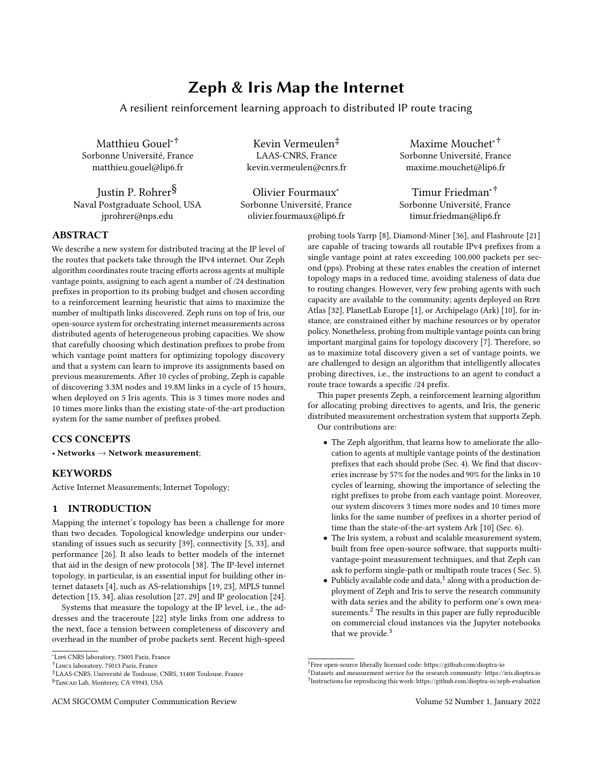# Zeph & Iris Map the Internet

A resilient reinforcement learning approach to distributed IP route tracing

Matthieu Gouel∗† Sorbonne Université, France matthieu.gouel@lip6.fr

Justin P. Rohrer§ Naval Postgraduate School, USA jprohrer@nps.edu

Kevin Vermeulen‡ LAAS-CNRS, France kevin.vermeulen@cnrs.fr

Olivier Fourmaux<sup>∗</sup> Sorbonne Université, France olivier.fourmaux@lip6.fr

Maxime Mouchet∗† Sorbonne Université, France maxime.mouchet@lip6.fr

Timur Friedman∗† Sorbonne Université, France timur.friedman@lip6.fr

# ABSTRACT

We describe a new system for distributed tracing at the IP level of the routes that packets take through the IPv4 internet. Our Zeph algorithm coordinates route tracing efforts across agents at multiple vantage points, assigning to each agent a number of /24 destination prefixes in proportion to its probing budget and chosen according to a reinforcement learning heuristic that aims to maximize the number of multipath links discovered. Zeph runs on top of Iris, our open-source system for orchestrating internet measurements across distributed agents of heterogeneous probing capacities. We show that carefully choosing which destination prefixes to probe from which vantage point matters for optimizing topology discovery and that a system can learn to improve its assignments based on previous measurements. After 10 cycles of probing, Zeph is capable of discovering 3.3M nodes and 19.8M links in a cycle of 15 hours, when deployed on 5 Iris agents. This is 3 times more nodes and 10 times more links than the existing state-of-the-art production system for the same number of prefixes probed.

# CCS CONCEPTS

• Networks  $\rightarrow$  Network measurement;

# **KEYWORDS**

Active Internet Measurements; Internet Topology;

## 1 INTRODUCTION

Mapping the internet's topology has been a challenge for more than two decades. Topological knowledge underpins our understanding of issues such as security [\[39\]](#page-6-0), connectivity [\[5,](#page-6-1) [33\]](#page-6-2), and performance [\[26\]](#page-6-3). It also leads to better models of the internet that aid in the design of new protocols [\[38\]](#page-6-4). The IP-level internet topology, in particular, is an essential input for building other internet datasets [\[4\]](#page-6-5), such as AS-relationships [\[19,](#page-6-6) [23\]](#page-6-7), MPLS tunnel detection [\[15,](#page-6-8) [34\]](#page-6-9), alias resolution [\[27,](#page-6-10) [29\]](#page-6-11) and IP geolocation [\[24\]](#page-6-12).

Systems that measure the topology at the IP level, i.e., the addresses and the traceroute [\[22\]](#page-6-13) style links from one address to the next, face a tension between completeness of discovery and overhead in the number of probe packets sent. Recent high-speed

‡LAAS-CNRS, Université de Toulouse, CNRS, 31400 Toulouse, France

probing tools Yarrp [\[8\]](#page-6-14), Diamond-Miner [\[36\]](#page-6-15), and Flashroute [\[21\]](#page-6-16) are capable of tracing towards all routable IPv4 prefixes from a single vantage point at rates exceeding 100,000 packets per second (pps). Probing at these rates enables the creation of internet topology maps in a reduced time, avoiding staleness of data due to routing changes. However, very few probing agents with such capacity are available to the community; agents deployed on Ripe Atlas [\[32\]](#page-6-17), PlanetLab Europe [\[1\]](#page-6-18), or Archipelago (Ark) [\[10\]](#page-6-19), for instance, are constrained either by machine resources or by operator policy. Nonetheless, probing from multiple vantage points can bring important marginal gains for topology discovery [\[7\]](#page-6-20). Therefore, so as to maximize total discovery given a set of vantage points, we are challenged to design an algorithm that intelligently allocates probing directives, i.e., the instructions to an agent to conduct a route trace towards a specific /24 prefix.

This paper presents Zeph, a reinforcement learning algorithm for allocating probing directives to agents, and Iris, the generic distributed measurement orchestration system that supports Zeph. Our contributions are:

- The Zeph algorithm, that learns how to ameliorate the allocation to agents at multiple vantage points of the destination prefixes that each should probe (Sec. [4\)](#page-1-0). We find that discoveries increase by 57% for the nodes and 90% for the links in 10 cycles of learning, showing the importance of selecting the right prefixes to probe from each vantage point. Moreover, our system discovers 3 times more nodes and 10 times more links for the same number of prefixes in a shorter period of time than the state-of-the-art system Ark [\[10\]](#page-6-19) (Sec. [6\)](#page-3-0).
- The Iris system, a robust and scalable measurement system, built from free open-source software, that supports multivantage-point measurement techniques, and that Zeph can ask to perform single-path or multipath route traces ( Sec. [5\)](#page-2-0).
- $\bullet$  Publicly available code and data,<sup>[1](#page-0-0)</sup> along with a production deployment of Zeph and Iris to serve the research community with data series and the ability to perform one's own mea-surements.<sup>[2](#page-0-1)</sup> The results in this paper are fully reproducible on commercial cloud instances via the Jupyter notebooks that we provide.<sup>[3](#page-0-2)</sup>

<sup>∗</sup>Lip6 CNRS laboratory, 75005 Paris, France

<sup>†</sup>Lincs laboratory, 75013 Paris, France

<sup>§</sup>Tancad Lab, Monterey, CA 93943, USA

ACM SIGCOMM Computer Communication Review Volume 52 Number 1, January 2022

<span id="page-0-0"></span><sup>&</sup>lt;sup>1</sup>Free open-source liberally licensed code:<https://github.com/dioptra-io>

<span id="page-0-2"></span><span id="page-0-1"></span><sup>2</sup>Datasets and measurement service for the research community:<https://iris.dioptra.io> 3 Instructions for reproducing this work:<https://github.com/dioptra-io/zeph-evaluation>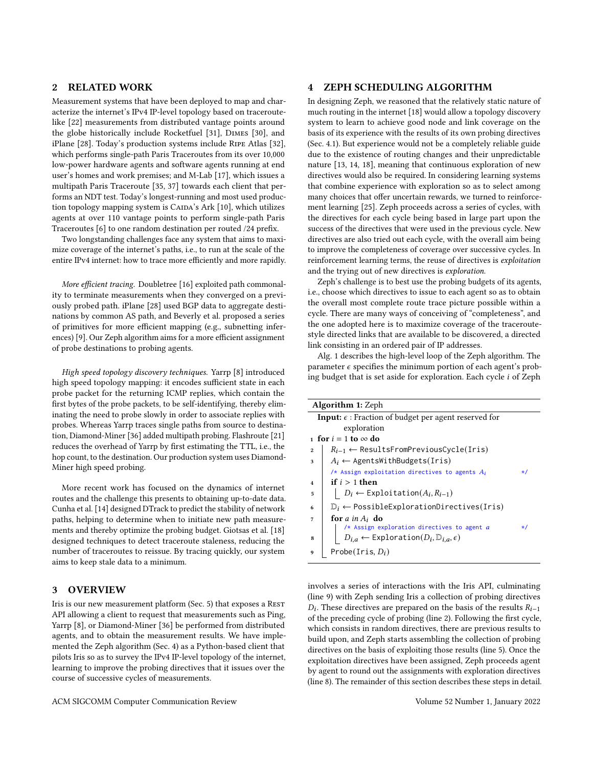# 2 RELATED WORK

Measurement systems that have been deployed to map and characterize the internet's IPv4 IP-level topology based on traceroutelike [\[22\]](#page-6-13) measurements from distributed vantage points around the globe historically include Rocketfuel [\[31\]](#page-6-21), Dimes [\[30\]](#page-6-22), and iPlane [\[28\]](#page-6-23). Today's production systems include Ripe Atlas [\[32\]](#page-6-17), which performs single-path Paris Traceroutes from its over 10,000 low-power hardware agents and software agents running at end user's homes and work premises; and M-Lab [\[17\]](#page-6-24), which issues a multipath Paris Traceroute [\[35,](#page-6-25) [37\]](#page-6-26) towards each client that performs an [NDT test.](https://measurementlab.net/tests/ndt) Today's longest-running and most used produc-tion topology mapping system is CAIDA's Ark [\[10\]](#page-6-19), which utilizes agents at over 110 vantage points to perform single-path Paris Traceroutes [\[6\]](#page-6-27) to one random destination per routed /24 prefix.

Two longstanding challenges face any system that aims to maximize coverage of the internet's paths, i.e., to run at the scale of the entire IPv4 internet: how to trace more efficiently and more rapidly.

More efficient tracing. Doubletree [\[16\]](#page-6-28) exploited path commonality to terminate measurements when they converged on a previously probed path. iPlane [\[28\]](#page-6-23) used BGP data to aggregate destinations by common AS path, and Beverly et al. proposed a series of primitives for more efficient mapping (e.g., subnetting inferences) [\[9\]](#page-6-29). Our Zeph algorithm aims for a more efficient assignment of probe destinations to probing agents.

High speed topology discovery techniques. Yarrp [\[8\]](#page-6-14) introduced high speed topology mapping: it encodes sufficient state in each probe packet for the returning ICMP replies, which contain the first bytes of the probe packets, to be self-identifying, thereby eliminating the need to probe slowly in order to associate replies with probes. Whereas Yarrp traces single paths from source to destination, Diamond-Miner [\[36\]](#page-6-15) added multipath probing. Flashroute [\[21\]](#page-6-16) reduces the overhead of Yarrp by first estimating the TTL, i.e., the hop count, to the destination. Our production system uses Diamond-Miner high speed probing.

More recent work has focused on the dynamics of internet routes and the challenge this presents to obtaining up-to-date data. Cunha et al. [\[14\]](#page-6-30) designed DTrack to predict the stability of network paths, helping to determine when to initiate new path measurements and thereby optimize the probing budget. Giotsas et al. [\[18\]](#page-6-31) designed techniques to detect traceroute staleness, reducing the number of traceroutes to reissue. By tracing quickly, our system aims to keep stale data to a minimum.

## 3 OVERVIEW

Iris is our new measurement platform (Sec. [5\)](#page-2-0) that exposes a REST API allowing a client to request that measurements such as Ping, Yarrp [\[8\]](#page-6-14), or Diamond-Miner [\[36\]](#page-6-15) be performed from distributed agents, and to obtain the measurement results. We have implemented the Zeph algorithm (Sec. [4\)](#page-1-0) as a Python-based client that pilots Iris so as to survey the IPv4 IP-level topology of the internet, learning to improve the probing directives that it issues over the course of successive cycles of measurements.

#### <span id="page-1-0"></span>4 ZEPH SCHEDULING ALGORITHM

In designing Zeph, we reasoned that the relatively static nature of much routing in the internet [\[18\]](#page-6-31) would allow a topology discovery system to learn to achieve good node and link coverage on the basis of its experience with the results of its own probing directives (Sec. [4.1\)](#page-2-1). But experience would not be a completely reliable guide due to the existence of routing changes and their unpredictable nature [\[13,](#page-6-32) [14,](#page-6-30) [18\]](#page-6-31), meaning that continuous exploration of new directives would also be required. In considering learning systems that combine experience with exploration so as to select among many choices that offer uncertain rewards, we turned to reinforcement learning [\[25\]](#page-6-33). Zeph proceeds across a series of cycles, with the directives for each cycle being based in large part upon the success of the directives that were used in the previous cycle. New directives are also tried out each cycle, with the overall aim being to improve the completeness of coverage over successive cycles. In reinforcement learning terms, the reuse of directives is exploitation and the trying out of new directives is exploration.

Zeph's challenge is to best use the probing budgets of its agents, i.e., choose which directives to issue to each agent so as to obtain the overall most complete route trace picture possible within a cycle. There are many ways of conceiving of "completeness", and the one adopted here is to maximize coverage of the traceroutestyle directed links that are available to be discovered, a directed link consisting in an ordered pair of IP addresses.

Alg. [1](#page-1-1) describes the high-level loop of the Zeph algorithm. The parameter  $\epsilon$  specifies the minimum portion of each agent's probing budget that is set aside for exploration. Each cycle  $i$  of Zeph

<span id="page-1-6"></span><span id="page-1-4"></span><span id="page-1-3"></span>

| <b>Algorithm 1: Zeph</b>                                             |                                                                      |           |  |  |
|----------------------------------------------------------------------|----------------------------------------------------------------------|-----------|--|--|
| <b>Input:</b> $\epsilon$ : Fraction of budget per agent reserved for |                                                                      |           |  |  |
|                                                                      | exploration                                                          |           |  |  |
| $\frac{1}{2}$ for $i = 1$ to $\infty$ do                             |                                                                      |           |  |  |
| $\overline{2}$                                                       | $R_{i-1} \leftarrow$ ResultsFromPreviousCycle(Iris)                  |           |  |  |
| 3                                                                    | $A_i \leftarrow$ AgentsWithBudgets(Iris)                             |           |  |  |
|                                                                      | /* Assign exploitation directives to agents $A_i$                    | $\star$ / |  |  |
| $\overline{\bf{4}}$                                                  | if $i > 1$ then                                                      |           |  |  |
| 5                                                                    | $\vert D_i \leftarrow \text{Exploitation}(A_i, R_{i-1})$             |           |  |  |
| 6                                                                    | $D_i \leftarrow \text{PossibleExplorationDirections}$                |           |  |  |
| 7                                                                    | for a in $A_i$ do                                                    |           |  |  |
|                                                                      | $/*$ Assign exploration directives to agent $a$                      | $\star/$  |  |  |
| 8                                                                    | $D_{i,a} \leftarrow$ Exploration $(D_i, \mathbb{D}_{i,a}, \epsilon)$ |           |  |  |
| 9                                                                    | Probe(Iris, $D_i$ )                                                  |           |  |  |

<span id="page-1-8"></span><span id="page-1-7"></span><span id="page-1-5"></span><span id="page-1-2"></span><span id="page-1-1"></span>involves a series of interactions with the Iris API, culminating (line [9\)](#page-1-2) with Zeph sending Iris a collection of probing directives  $D_i$ . These directives are prepared on the basis of the results  $R_{i-1}$ of the preceding cycle of probing (line [2\)](#page-1-3). Following the first cycle, which consists in random directives, there are previous results to build upon, and Zeph starts assembling the collection of probing directives on the basis of exploiting those results (line [5\)](#page-1-4). Once the exploitation directives have been assigned, Zeph proceeds agent by agent to round out the assignments with exploration directives (line [8\)](#page-1-5). The remainder of this section describes these steps in detail.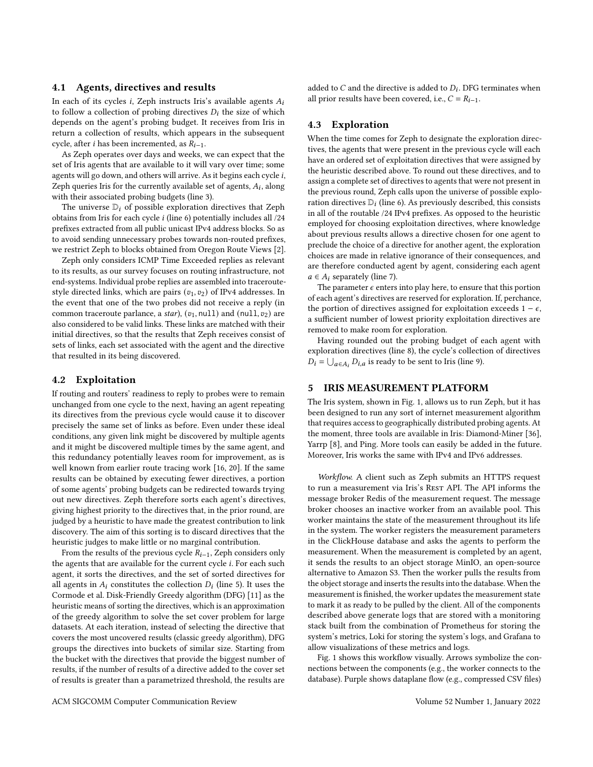#### <span id="page-2-1"></span>4.1 Agents, directives and results

In each of its cycles *i*, Zeph instructs Iris's available agents  $A_i$ to follow a collection of probing directives  $D_i$  the size of which depends on the agent's probing budget. It receives from Iris in return a collection of results, which appears in the subsequent cycle, after *i* has been incremented, as  $R_{i-1}$ .

As Zeph operates over days and weeks, we can expect that the set of Iris agents that are available to it will vary over time; some agents will go down, and others will arrive. As it begins each cycle  $i$ , Zeph queries Iris for the currently available set of agents,  $A_i$ , along with their associated probing budgets (line [3\)](#page-1-6).

The universe  $D_i$  of possible exploration directives that Zeph obtains from Iris for each cycle  $i$  (line [6\)](#page-1-7) potentially includes all  $/24$ prefixes extracted from all public unicast IPv4 address blocks. So as to avoid sending unnecessary probes towards non-routed prefixes, we restrict Zeph to blocks obtained from Oregon Route Views [\[2\]](#page-6-34).

Zeph only considers ICMP Time Exceeded replies as relevant to its results, as our survey focuses on routing infrastructure, not end-systems. Individual probe replies are assembled into traceroutestyle directed links, which are pairs  $(v_1, v_2)$  of IPv4 addresses. In the event that one of the two probes did not receive a reply (in common traceroute parlance, a star),  $(v_1, \text{null})$  and  $(\text{null}, v_2)$  are also considered to be valid links. These links are matched with their initial directives, so that the results that Zeph receives consist of sets of links, each set associated with the agent and the directive that resulted in its being discovered.

#### <span id="page-2-2"></span>4.2 Exploitation

If routing and routers' readiness to reply to probes were to remain unchanged from one cycle to the next, having an agent repeating its directives from the previous cycle would cause it to discover precisely the same set of links as before. Even under these ideal conditions, any given link might be discovered by multiple agents and it might be discovered multiple times by the same agent, and this redundancy potentially leaves room for improvement, as is well known from earlier route tracing work [\[16,](#page-6-28) [20\]](#page-6-35). If the same results can be obtained by executing fewer directives, a portion of some agents' probing budgets can be redirected towards trying out new directives. Zeph therefore sorts each agent's directives, giving highest priority to the directives that, in the prior round, are judged by a heuristic to have made the greatest contribution to link discovery. The aim of this sorting is to discard directives that the heuristic judges to make little or no marginal contribution.

From the results of the previous cycle  $R_{i-1}$ , Zeph considers only the agents that are available for the current cycle  $i$ . For each such agent, it sorts the directives, and the set of sorted directives for all agents in  $A_i$  constitutes the collection  $D_i$  (line [5\)](#page-1-4). It uses the Cormode et al. Disk-Friendly Greedy algorithm (DFG) [\[11\]](#page-6-36) as the heuristic means of sorting the directives, which is an approximation of the greedy algorithm to solve the set cover problem for large datasets. At each iteration, instead of selecting the directive that covers the most uncovered results (classic greedy algorithm), DFG groups the directives into buckets of similar size. Starting from the bucket with the directives that provide the biggest number of results, if the number of results of a directive added to the cover set of results is greater than a parametrized threshold, the results are

added to  $C$  and the directive is added to  $D_i$ . DFG terminates when all prior results have been covered, i.e.,  $C = R_{i-1}$ .

#### <span id="page-2-3"></span>4.3 Exploration

When the time comes for Zeph to designate the exploration directives, the agents that were present in the previous cycle will each have an ordered set of exploitation directives that were assigned by the heuristic described above. To round out these directives, and to assign a complete set of directives to agents that were not present in the previous round, Zeph calls upon the universe of possible exploration directives  $\mathbb{D}_i$  (line [6\)](#page-1-7). As previously described, this consists in all of the routable /24 IPv4 prefixes. As opposed to the heuristic employed for choosing exploitation directives, where knowledge about previous results allows a directive chosen for one agent to preclude the choice of a directive for another agent, the exploration choices are made in relative ignorance of their consequences, and are therefore conducted agent by agent, considering each agent  $a \in A_i$  separately (line [7\)](#page-1-8).

The parameter  $\epsilon$  enters into play here, to ensure that this portion of each agent's directives are reserved for exploration. If, perchance, the portion of directives assigned for exploitation exceeds  $1 - \epsilon$ , a sufficient number of lowest priority exploitation directives are removed to make room for exploration.

Having rounded out the probing budget of each agent with exploration directives (line [8\)](#page-1-5), the cycle's collection of directives  $D_i = \bigcup_{a \in A_i} D_{i,a}$  is ready to be sent to Iris (line [9\)](#page-1-2).

## <span id="page-2-0"></span>5 IRIS MEASUREMENT PLATFORM

The Iris system, shown in Fig. [1,](#page-3-1) allows us to run Zeph, but it has been designed to run any sort of internet measurement algorithm that requires access to geographically distributed probing agents. At the moment, three tools are available in Iris: Diamond-Miner [\[36\]](#page-6-15), Yarrp [\[8\]](#page-6-14), and Ping. More tools can easily be added in the future. Moreover, Iris works the same with IPv4 and IPv6 addresses.

Workflow. A client such as Zeph submits an HTTPS request to run a measurement via Iris's REST API. The API informs the message broker [Redis](https://redis.io/) of the measurement request. The message broker chooses an inactive worker from an available pool. This worker maintains the state of the measurement throughout its life in the system. The worker registers the measurement parameters in the [ClickHouse](https://clickhouse.tech/docs/en/) database and asks the agents to perform the measurement. When the measurement is completed by an agent, it sends the results to an object storage [MinIO,](https://min.io) an open-source alternative to [Amazon S3.](https://aws.amazon.com/fr/s3/) Then the worker pulls the results from the object storage and inserts the results into the database. When the measurement is finished, the worker updates the measurement state to mark it as ready to be pulled by the client. All of the components described above generate logs that are stored with a monitoring stack built from the combination of [Prometheus](https://prometheus.io/) for storing the system's metrics, [Loki](https://grafana.com/oss/loki/) for storing the system's logs, and [Grafana](https://grafana.com/) to allow visualizations of these metrics and logs.

Fig. [1](#page-3-1) shows this workflow visually. Arrows symbolize the connections between the components (e.g., the worker connects to the database). Purple shows dataplane flow (e.g., compressed CSV files)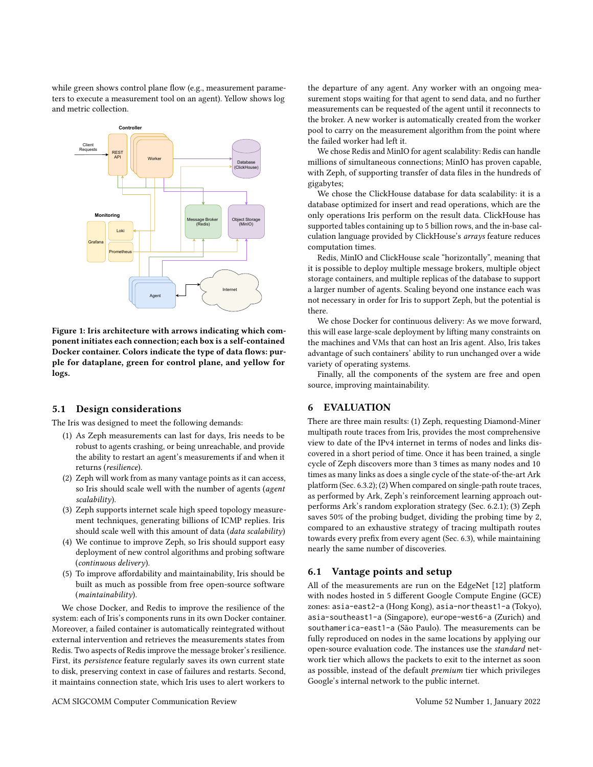while green shows control plane flow (e.g., measurement parameters to execute a measurement tool on an agent). Yellow shows log and metric collection.

<span id="page-3-1"></span>

Figure 1: Iris architecture with arrows indicating which component initiates each connection; each box is a self-contained Docker container. Colors indicate the type of data flows: purple for dataplane, green for control plane, and yellow for logs.

#### 5.1 Design considerations

The Iris was designed to meet the following demands:

- (1) As Zeph measurements can last for days, Iris needs to be robust to agents crashing, or being unreachable, and provide the ability to restart an agent's measurements if and when it returns (resilience).
- (2) Zeph will work from as many vantage points as it can access, so Iris should scale well with the number of agents (agent scalability).
- (3) Zeph supports internet scale high speed topology measurement techniques, generating billions of ICMP replies. Iris should scale well with this amount of data (data scalability)
- (4) We continue to improve Zeph, so Iris should support easy deployment of new control algorithms and probing software (continuous delivery).
- (5) To improve affordability and maintainability, Iris should be built as much as possible from free open-source software (maintainability).

We chose [Docker,](https://www.docker.com/) and Redis to improve the resilience of the system: each of Iris's components runs in its own Docker container. Moreover, a failed container is automatically reintegrated without external intervention and retrieves the measurements states from Redis. Two aspects of Redis improve the message broker's resilience. First, its [persistence](https://redis.io/topics/persistence) feature regularly saves its own current state to disk, preserving context in case of failures and restarts. Second, it maintains connection state, which Iris uses to alert workers to

the departure of any agent. Any worker with an ongoing measurement stops waiting for that agent to send data, and no further measurements can be requested of the agent until it reconnects to the broker. A new worker is automatically created from the worker pool to carry on the measurement algorithm from the point where the failed worker had left it.

We chose Redis and MinIO for agent scalability: Redis can handle millions of simultaneous connections; MinIO has proven capable, with Zeph, of supporting transfer of data files in the hundreds of gigabytes;

We chose the ClickHouse database for data scalability: it is a database optimized for insert and read operations, which are the only operations Iris perform on the result data. ClickHouse has supported tables containing up to 5 billion rows, and the in-base calculation language provided by [ClickHouse's](https://clickhouse.tech/docs/en/sql-reference/functions/array-functions/) arrays feature reduces computation times.

Redis, MinIO and ClickHouse scale "horizontally", meaning that it is possible to deploy multiple message brokers, multiple object storage containers, and multiple replicas of the database to support a larger number of agents. Scaling beyond one instance each was not necessary in order for Iris to support Zeph, but the potential is there.

We chose Docker for continuous delivery: As we move forward, this will ease large-scale deployment by lifting many constraints on the machines and VMs that can host an Iris agent. Also, Iris takes advantage of such containers' ability to run unchanged over a wide variety of operating systems.

Finally, all the components of the system are free and open source, improving maintainability.

## <span id="page-3-0"></span>6 EVALUATION

There are three main results: (1) Zeph, requesting Diamond-Miner multipath route traces from Iris, provides the most comprehensive view to date of the IPv4 internet in terms of nodes and links discovered in a short period of time. Once it has been trained, a single cycle of Zeph discovers more than 3 times as many nodes and 10 times as many links as does a single cycle of the state-of-the-art Ark platform (Sec. [6.3.2\)](#page-5-0); (2) When compared on single-path route traces, as performed by Ark, Zeph's reinforcement learning approach outperforms Ark's random exploration strategy (Sec. [6.2.1\)](#page-4-0); (3) Zeph saves 50% of the probing budget, dividing the probing time by 2, compared to an exhaustive strategy of tracing multipath routes towards every prefix from every agent (Sec. [6.3\)](#page-5-1), while maintaining nearly the same number of discoveries.

## 6.1 Vantage points and setup

All of the measurements are run on the EdgeNet [\[12\]](#page-6-37) platform with nodes hosted in 5 different [Google Compute Engine \(GCE\)](https://cloud.google.com/) zones: asia-east2-a (Hong Kong), asia-northeast1-a (Tokyo), asia-southeast1-a (Singapore), europe-west6-a (Zurich) and southamerica-east1-a (São Paulo). The measurements can be fully reproduced on nodes in the same locations by applying our open-source evaluation code. The instances use the standard network tier which allows the packets to exit to the internet as soon as possible, instead of the default premium tier which privileges Google's internal network to the public internet.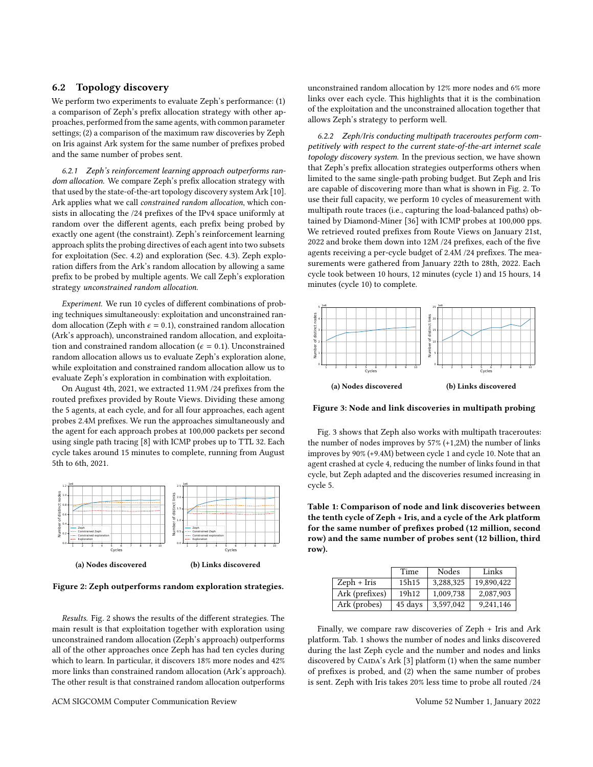### <span id="page-4-4"></span>6.2 Topology discovery

We perform two experiments to evaluate Zeph's performance: (1) a comparison of Zeph's prefix allocation strategy with other approaches, performed from the same agents, with common parameter settings; (2) a comparison of the maximum raw discoveries by Zeph on Iris against Ark system for the same number of prefixes probed and the same number of probes sent.

<span id="page-4-0"></span>6.2.1 Zeph's reinforcement learning approach outperforms random allocation. We compare Zeph's prefix allocation strategy with that used by the state-of-the-art topology discovery system Ark [\[10\]](#page-6-19). Ark applies what we call constrained random allocation, which consists in allocating the /24 prefixes of the IPv4 space uniformly at random over the different agents, each prefix being probed by exactly one agent (the constraint). Zeph's reinforcement learning approach splits the probing directives of each agent into two subsets for exploitation (Sec. [4.2\)](#page-2-2) and exploration (Sec. [4.3\)](#page-2-3). Zeph exploration differs from the Ark's random allocation by allowing a same prefix to be probed by multiple agents. We call Zeph's exploration strategy unconstrained random allocation.

Experiment. We run 10 cycles of different combinations of probing techniques simultaneously: exploitation and unconstrained random allocation (Zeph with  $\epsilon = 0.1$ ), constrained random allocation (Ark's approach), unconstrained random allocation, and exploitation and constrained random allocation ( $\epsilon = 0.1$ ). Unconstrained random allocation allows us to evaluate Zeph's exploration alone, while exploitation and constrained random allocation allow us to evaluate Zeph's exploration in combination with exploitation.

On August 4th, 2021, we extracted 11.9M /24 prefixes from the routed prefixes provided by Route Views. Dividing these among the 5 agents, at each cycle, and for all four approaches, each agent probes 2.4M prefixes. We run the approaches simultaneously and the agent for each approach probes at 100,000 packets per second using single path tracing [\[8\]](#page-6-14) with ICMP probes up to TTL 32. Each cycle takes around 15 minutes to complete, running from August 5th to 6th, 2021.

<span id="page-4-1"></span>

Figure 2: Zeph outperforms random exploration strategies.

Results. Fig. [2](#page-4-1) shows the results of the different strategies. The main result is that exploitation together with exploration using unconstrained random allocation (Zeph's approach) outperforms all of the other approaches once Zeph has had ten cycles during which to learn. In particular, it discovers 18% more nodes and 42% more links than constrained random allocation (Ark's approach). The other result is that constrained random allocation outperforms

unconstrained random allocation by 12% more nodes and 6% more links over each cycle. This highlights that it is the combination of the exploitation and the unconstrained allocation together that allows Zeph's strategy to perform well.

6.2.2 Zeph/Iris conducting multipath traceroutes perform competitively with respect to the current state-of-the-art internet scale topology discovery system. In the previous section, we have shown that Zeph's prefix allocation strategies outperforms others when limited to the same single-path probing budget. But Zeph and Iris are capable of discovering more than what is shown in Fig. [2.](#page-4-1) To use their full capacity, we perform 10 cycles of measurement with multipath route traces (i.e., capturing the load-balanced paths) obtained by Diamond-Miner [\[36\]](#page-6-15) with ICMP probes at 100,000 pps. We retrieved routed prefixes from Route Views on January 21st, 2022 and broke them down into 12M /24 prefixes, each of the five agents receiving a per-cycle budget of 2.4M /24 prefixes. The measurements were gathered from January 22th to 28th, 2022. Each cycle took between 10 hours, 12 minutes (cycle 1) and 15 hours, 14 minutes (cycle 10) to complete.

<span id="page-4-2"></span>

Figure 3: Node and link discoveries in multipath probing

Fig. [3](#page-4-2) shows that Zeph also works with multipath traceroutes: the number of nodes improves by 57% (+1,2M) the number of links improves by 90% (+9.4M) between cycle 1 and cycle 10. Note that an agent crashed at cycle 4, reducing the number of links found in that cycle, but Zeph adapted and the discoveries resumed increasing in cycle 5.

<span id="page-4-3"></span>Table 1: Comparison of node and link discoveries between the tenth cycle of Zeph + Iris, and a cycle of the Ark platform for the same number of prefixes probed (12 million, second row) and the same number of probes sent (12 billion, third row).

|                | Time    | Nodes     | Links      |
|----------------|---------|-----------|------------|
| $Zeph + Iris$  | 15h15   | 3,288,325 | 19,890,422 |
| Ark (prefixes) | 19h12   | 1.009.738 | 2.087.903  |
| Ark (probes)   | 45 days | 3,597,042 | 9.241.146  |

Finally, we compare raw discoveries of Zeph + Iris and Ark platform. Tab. [1](#page-4-3) shows the number of nodes and links discovered during the last Zeph cycle and the number and nodes and links discovered by CAIDA's Ark [\[3\]](#page-6-38) platform (1) when the same number of prefixes is probed, and (2) when the same number of probes is sent. Zeph with Iris takes 20% less time to probe all routed /24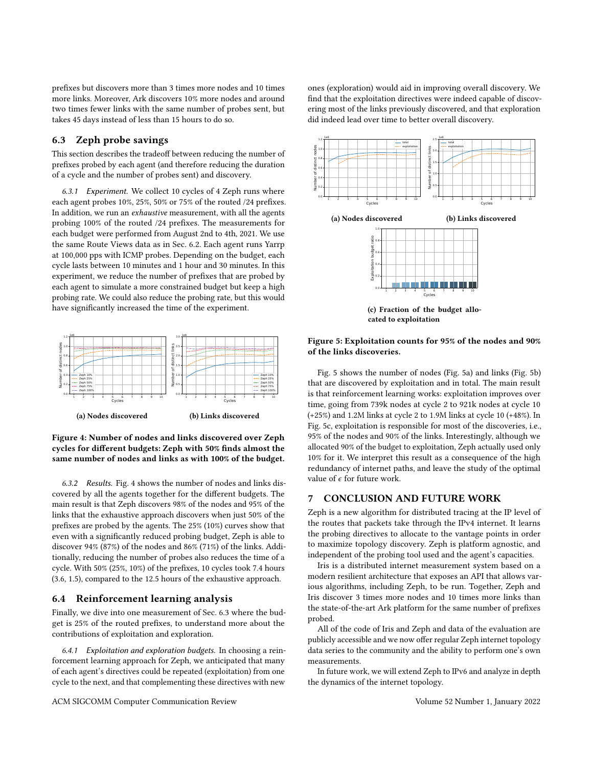prefixes but discovers more than 3 times more nodes and 10 times more links. Moreover, Ark discovers 10% more nodes and around two times fewer links with the same number of probes sent, but takes 45 days instead of less than 15 hours to do so.

#### <span id="page-5-1"></span>6.3 Zeph probe savings

This section describes the tradeoff between reducing the number of prefixes probed by each agent (and therefore reducing the duration of a cycle and the number of probes sent) and discovery.

6.3.1 Experiment. We collect 10 cycles of 4 Zeph runs where each agent probes 10%, 25%, 50% or 75% of the routed /24 prefixes. In addition, we run an exhaustive measurement, with all the agents probing 100% of the routed /24 prefixes. The measurements for each budget were performed from August 2nd to 4th, 2021. We use the same Route Views data as in Sec. [6.2.](#page-4-4) Each agent runs Yarrp at 100,000 pps with ICMP probes. Depending on the budget, each cycle lasts between 10 minutes and 1 hour and 30 minutes. In this experiment, we reduce the number of prefixes that are probed by each agent to simulate a more constrained budget but keep a high probing rate. We could also reduce the probing rate, but this would have significantly increased the time of the experiment.

<span id="page-5-2"></span><span id="page-5-0"></span>

Figure 4: Number of nodes and links discovered over Zeph cycles for different budgets: Zeph with 50% finds almost the same number of nodes and links as with 100% of the budget.

6.3.2 Results. Fig. [4](#page-5-2) shows the number of nodes and links discovered by all the agents together for the different budgets. The main result is that Zeph discovers 98% of the nodes and 95% of the links that the exhaustive approach discovers when just 50% of the prefixes are probed by the agents. The 25% (10%) curves show that even with a significantly reduced probing budget, Zeph is able to discover 94% (87%) of the nodes and 86% (71%) of the links. Additionally, reducing the number of probes also reduces the time of a cycle. With 50% (25%, 10%) of the prefixes, 10 cycles took 7.4 hours (3.6, 1.5), compared to the 12.5 hours of the exhaustive approach.

## 6.4 Reinforcement learning analysis

Finally, we dive into one measurement of Sec. [6.3](#page-5-1) where the budget is 25% of the routed prefixes, to understand more about the contributions of exploitation and exploration.

6.4.1 Exploitation and exploration budgets. In choosing a reinforcement learning approach for Zeph, we anticipated that many of each agent's directives could be repeated (exploitation) from one cycle to the next, and that complementing these directives with new

ones (exploration) would aid in improving overall discovery. We find that the exploitation directives were indeed capable of discovering most of the links previously discovered, and that exploration did indeed lead over time to better overall discovery.

<span id="page-5-3"></span>

(c) Fraction of the budget allocated to exploitation

#### Figure 5: Exploitation counts for 95% of the nodes and 90% of the links discoveries.

Fig. [5](#page-5-3) shows the number of nodes (Fig. [5a\)](#page-5-3) and links (Fig. [5b\)](#page-5-3) that are discovered by exploitation and in total. The main result is that reinforcement learning works: exploitation improves over time, going from 739k nodes at cycle 2 to 921k nodes at cycle 10 (+25%) and 1.2M links at cycle 2 to 1.9M links at cycle 10 (+48%). In Fig. [5c,](#page-5-3) exploitation is responsible for most of the discoveries, i.e., 95% of the nodes and 90% of the links. Interestingly, although we allocated 90% of the budget to exploitation, Zeph actually used only 10% for it. We interpret this result as a consequence of the high redundancy of internet paths, and leave the study of the optimal value of  $\epsilon$  for future work.

## 7 CONCLUSION AND FUTURE WORK

Zeph is a new algorithm for distributed tracing at the IP level of the routes that packets take through the IPv4 internet. It learns the probing directives to allocate to the vantage points in order to maximize topology discovery. Zeph is platform agnostic, and independent of the probing tool used and the agent's capacities.

Iris is a distributed internet measurement system based on a modern resilient architecture that exposes an API that allows various algorithms, including Zeph, to be run. Together, Zeph and Iris discover 3 times more nodes and 10 times more links than the state-of-the-art Ark platform for the same number of prefixes probed.

All of the code of Iris and Zeph and data of the evaluation are publicly accessible and we now offer regular Zeph internet topology data series to the community and the ability to perform one's own measurements.

In future work, we will extend Zeph to IPv6 and analyze in depth the dynamics of the internet topology.